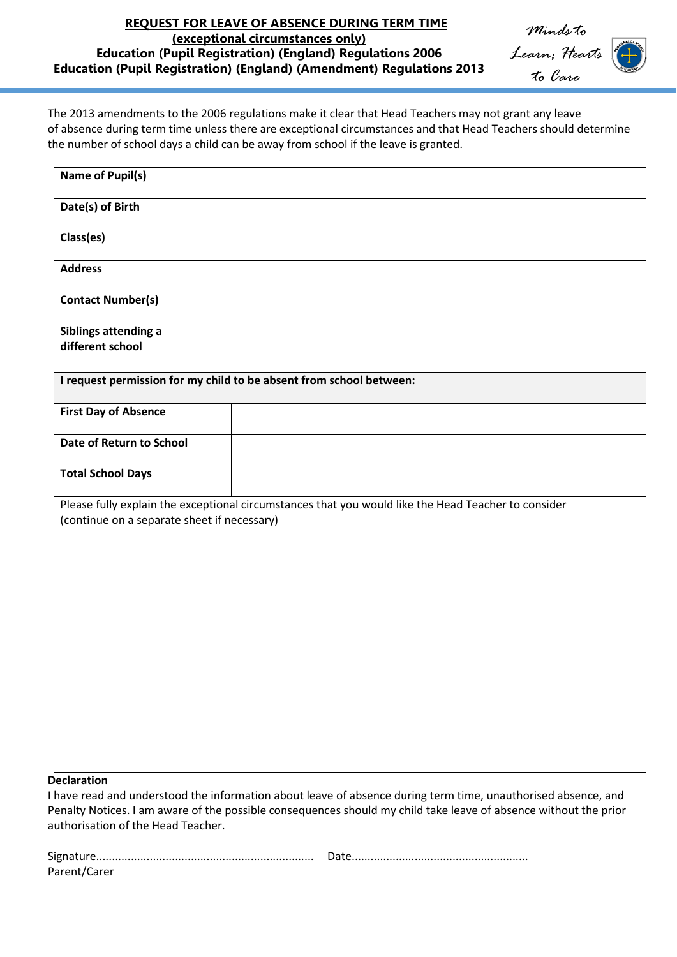## **REQUEST FOR LEAVE OF ABSENCE DURING TERM TIME (exceptional circumstances only) Education (Pupil Registration) (England) Regulations 2006 Education (Pupil Registration) (England) (Amendment) Regulations 2013**

*Minds to Learn; Hearts to Care*

The 2013 amendments to the 2006 regulations make it clear that Head Teachers may not grant any leave of absence during term time unless there are exceptional circumstances and that Head Teachers should determine the number of school days a child can be away from school if the leave is granted.

| Name of Pupil(s)                         |  |
|------------------------------------------|--|
| Date(s) of Birth                         |  |
| Class(es)                                |  |
| <b>Address</b>                           |  |
| <b>Contact Number(s)</b>                 |  |
| Siblings attending a<br>different school |  |

| <b>First Day of Absence</b><br>Date of Return to School<br><b>Total School Days</b><br>Please fully explain the exceptional circumstances that you would like the Head Teacher to consider<br>(continue on a separate sheet if necessary) | I request permission for my child to be absent from school between: |  |  |
|-------------------------------------------------------------------------------------------------------------------------------------------------------------------------------------------------------------------------------------------|---------------------------------------------------------------------|--|--|
|                                                                                                                                                                                                                                           |                                                                     |  |  |
|                                                                                                                                                                                                                                           |                                                                     |  |  |
|                                                                                                                                                                                                                                           |                                                                     |  |  |
|                                                                                                                                                                                                                                           |                                                                     |  |  |

## **Declaration**

I have read and understood the information about leave of absence during term time, unauthorised absence, and Penalty Notices. I am aware of the possible consequences should my child take leave of absence without the prior authorisation of the Head Teacher.

| Parent/Carer |  |
|--------------|--|